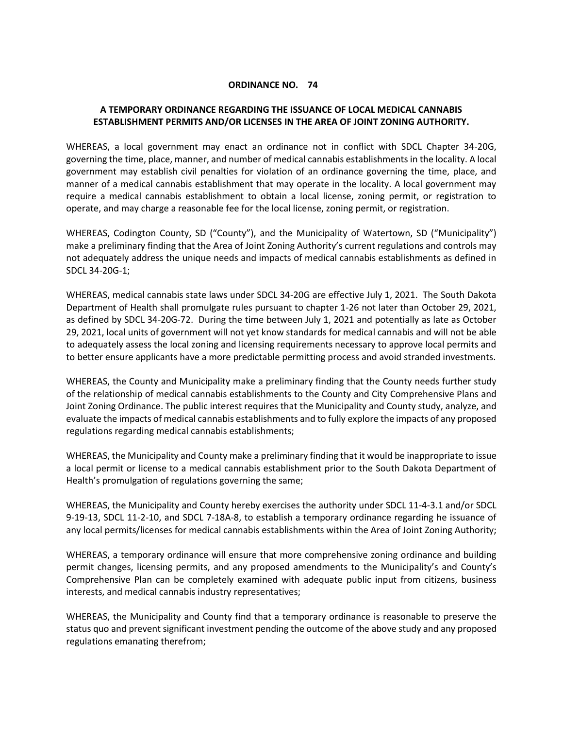## **ORDINANCE NO. 74**

## **A TEMPORARY ORDINANCE REGARDING THE ISSUANCE OF LOCAL MEDICAL CANNABIS ESTABLISHMENT PERMITS AND/OR LICENSES IN THE AREA OF JOINT ZONING AUTHORITY.**

WHEREAS, a local government may enact an ordinance not in conflict with SDCL Chapter 34-20G, governing the time, place, manner, and number of medical cannabis establishments in the locality. A local government may establish civil penalties for violation of an ordinance governing the time, place, and manner of a medical cannabis establishment that may operate in the locality. A local government may require a medical cannabis establishment to obtain a local license, zoning permit, or registration to operate, and may charge a reasonable fee for the local license, zoning permit, or registration.

WHEREAS, Codington County, SD ("County"), and the Municipality of Watertown, SD ("Municipality") make a preliminary finding that the Area of Joint Zoning Authority's current regulations and controls may not adequately address the unique needs and impacts of medical cannabis establishments as defined in SDCL 34-20G-1;

WHEREAS, medical cannabis state laws under SDCL 34-20G are effective July 1, 2021. The South Dakota Department of Health shall promulgate rules pursuant to chapter 1-26 not later than October 29, 2021, as defined by SDCL 34-20G-72. During the time between July 1, 2021 and potentially as late as October 29, 2021, local units of government will not yet know standards for medical cannabis and will not be able to adequately assess the local zoning and licensing requirements necessary to approve local permits and to better ensure applicants have a more predictable permitting process and avoid stranded investments.

WHEREAS, the County and Municipality make a preliminary finding that the County needs further study of the relationship of medical cannabis establishments to the County and City Comprehensive Plans and Joint Zoning Ordinance. The public interest requires that the Municipality and County study, analyze, and evaluate the impacts of medical cannabis establishments and to fully explore the impacts of any proposed regulations regarding medical cannabis establishments;

WHEREAS, the Municipality and County make a preliminary finding that it would be inappropriate to issue a local permit or license to a medical cannabis establishment prior to the South Dakota Department of Health's promulgation of regulations governing the same;

WHEREAS, the Municipality and County hereby exercises the authority under SDCL 11-4-3.1 and/or SDCL 9-19-13, SDCL 11-2-10, and SDCL 7-18A-8, to establish a temporary ordinance regarding he issuance of any local permits/licenses for medical cannabis establishments within the Area of Joint Zoning Authority;

WHEREAS, a temporary ordinance will ensure that more comprehensive zoning ordinance and building permit changes, licensing permits, and any proposed amendments to the Municipality's and County's Comprehensive Plan can be completely examined with adequate public input from citizens, business interests, and medical cannabis industry representatives;

WHEREAS, the Municipality and County find that a temporary ordinance is reasonable to preserve the status quo and prevent significant investment pending the outcome of the above study and any proposed regulations emanating therefrom;